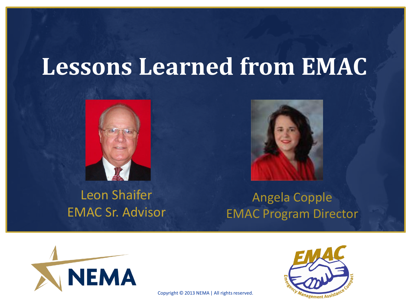#### **Lessons Learned from EMAC**





#### Leon Shaifer EMAC Sr. Advisor

Angela Copple EMAC Program Director



Copyright © 2013 NEMA | All rights reserved.

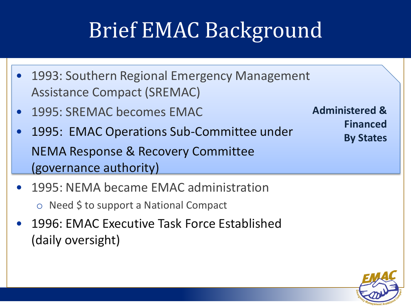# Brief EMAC Background

- 1993: Southern Regional Emergency Management Assistance Compact (SREMAC)
- 1995: SREMAC becomes EMAC
- 1995: EMAC Operations Sub-Committee under NEMA Response & Recovery Committee (governance authority)
- **Administered & Financed By States**

- 1995: NEMA became EMAC administration o Need \$ to support a National Compact
- 1996: EMAC Executive Task Force Established (daily oversight)

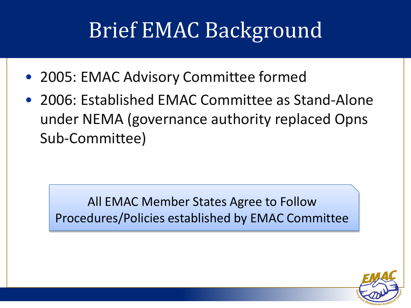# Brief EMAC Background

- 2005: EMAC Advisory Committee formed
- 2006: Established EMAC Committee as Stand-Alone under NEMA (governance authority replaced Opns Sub-Committee)

All EMAC Member States Agree to Follow Procedures/Policies established by EMAC Committee

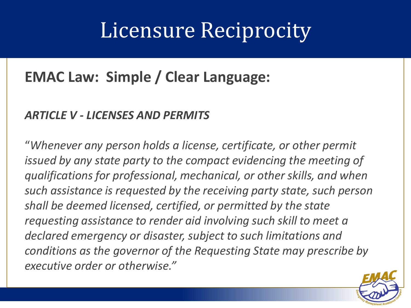#### Licensure Reciprocity

#### **EMAC Law: Simple / Clear Language:**

#### *ARTICLE V - LICENSES AND PERMITS*

"*Whenever any person holds a license, certificate, or other permit issued by any state party to the compact evidencing the meeting of qualifications for professional, mechanical, or other skills, and when such assistance is requested by the receiving party state, such person shall be deemed licensed, certified, or permitted by the state requesting assistance to render aid involving such skill to meet a declared emergency or disaster, subject to such limitations and conditions as the governor of the Requesting State may prescribe by executive order or otherwise."*

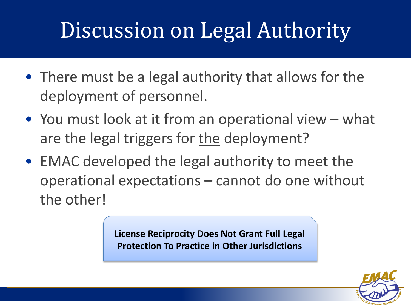### Discussion on Legal Authority

- There must be a legal authority that allows for the deployment of personnel.
- You must look at it from an operational view what are the legal triggers for the deployment?
- EMAC developed the legal authority to meet the operational expectations – cannot do one without the other!

**License Reciprocity Does Not Grant Full Legal Protection To Practice in Other Jurisdictions**

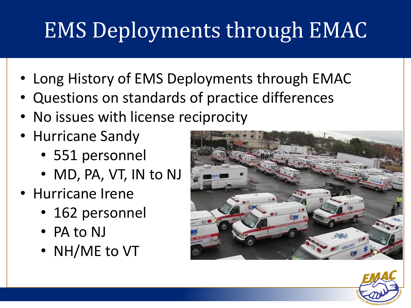# EMS Deployments through EMAC

- Long History of EMS Deployments through EMAC
- Questions on standards of practice differences
- No issues with license reciprocity
- Hurricane Sandy
	- 551 personnel
	- MD, PA, VT, IN to NJ
- Hurricane Irene
	- 162 personnel
	- PA to NJ
	- NH/ME to VT



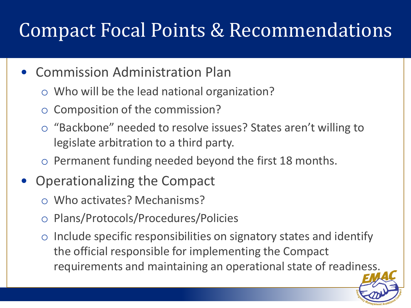#### Compact Focal Points & Recommendations

- Commission Administration Plan
	- o Who will be the lead national organization?
	- o Composition of the commission?
	- o "Backbone" needed to resolve issues? States aren't willing to legislate arbitration to a third party.
	- o Permanent funding needed beyond the first 18 months.
- Operationalizing the Compact
	- o Who activates? Mechanisms?
	- o Plans/Protocols/Procedures/Policies
	- $\circ$  Include specific responsibilities on signatory states and identify the official responsible for implementing the Compact requirements and maintaining an operational state of readiness.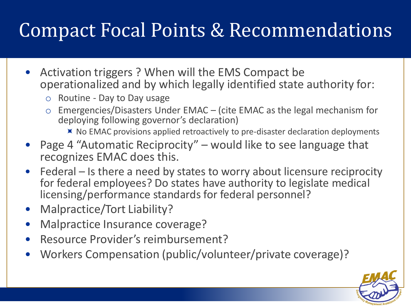#### Compact Focal Points & Recommendations

- Activation triggers ? When will the EMS Compact be operationalized and by which legally identified state authority for:
	- o Routine Day to Day usage
	- o Emergencies/Disasters Under EMAC (cite EMAC as the legal mechanism for deploying following governor's declaration)
		- $\blacktriangleright$  No EMAC provisions applied retroactively to pre-disaster declaration deployments
- Page 4 "Automatic Reciprocity" would like to see language that recognizes EMAC does this.
- Federal Is there a need by states to worry about licensure reciprocity for federal employees? Do states have authority to legislate medical licensing/performance standards for federal personnel?
- Malpractice/Tort Liability?
- Malpractice Insurance coverage?
- Resource Provider's reimbursement?
- Workers Compensation (public/volunteer/private coverage)?

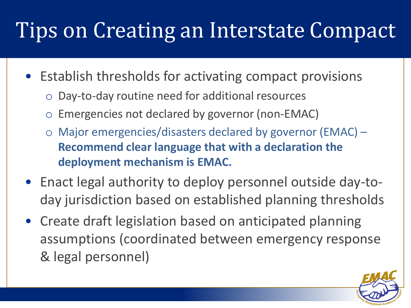## Tips on Creating an Interstate Compact

- Establish thresholds for activating compact provisions
	- Day-to-day routine need for additional resources
	- Emergencies not declared by governor (non-EMAC)
	- o Major emergencies/disasters declared by governor (EMAC) **Recommend clear language that with a declaration the deployment mechanism is EMAC.**
- Enact legal authority to deploy personnel outside day-today jurisdiction based on established planning thresholds
- Create draft legislation based on anticipated planning assumptions (coordinated between emergency response & legal personnel)

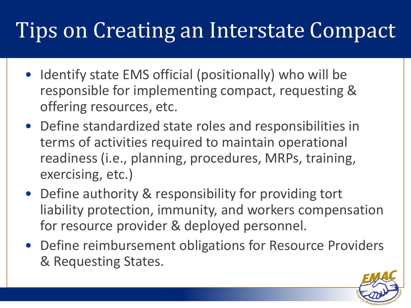## Tips on Creating an Interstate Compact

- Identify state EMS official (positionally) who will be responsible for implementing compact, requesting & offering resources, etc.
- Define standardized state roles and responsibilities in terms of activities required to maintain operational readiness (i.e., planning, procedures, MRPs, training, exercising, etc.)
- Define authority & responsibility for providing tort liability protection, immunity, and workers compensation for resource provider & deployed personnel.
- Define reimbursement obligations for Resource Providers & Requesting States.